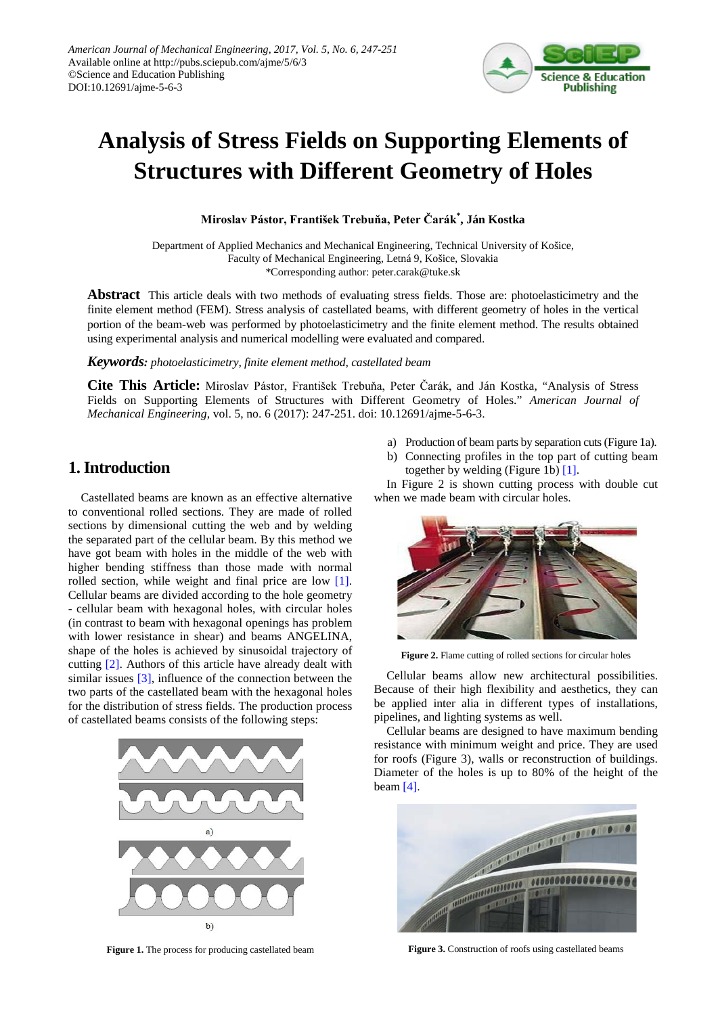

# **Analysis of Stress Fields on Supporting Elements of Structures with Different Geometry of Holes**

**Miroslav Pástor, František Trebuňa, Peter Čarák\* , Ján Kostka**

Department of Applied Mechanics and Mechanical Engineering, Technical University of Košice, Faculty of Mechanical Engineering, Letná 9, Košice, Slovakia \*Corresponding author: peter.carak@tuke.sk

**Abstract** This article deals with two methods of evaluating stress fields. Those are: photoelasticimetry and the finite element method (FEM). Stress analysis of castellated beams, with different geometry of holes in the vertical portion of the beam-web was performed by photoelasticimetry and the finite element method. The results obtained using experimental analysis and numerical modelling were evaluated and compared.

#### *Keywords: photoelasticimetry, finite element method, castellated beam*

**Cite This Article:** Miroslav Pástor, František Trebuňa, Peter Čarák, and Ján Kostka, "Analysis of Stress Fields on Supporting Elements of Structures with Different Geometry of Holes." *American Journal of Mechanical Engineering*, vol. 5, no. 6 (2017): 247-251. doi: 10.12691/ajme-5-6-3.

### **1. Introduction**

Castellated beams are known as an effective alternative to conventional rolled sections. They are made of rolled sections by dimensional cutting the web and by welding the separated part of the cellular beam. By this method we have got beam with holes in the middle of the web with higher bending stiffness than those made with normal rolled section, while weight and final price are low [\[1\].](#page-4-0) Cellular beams are divided according to the hole geometry - cellular beam with hexagonal holes, with circular holes (in contrast to beam with hexagonal openings has problem with lower resistance in shear) and beams ANGELINA, shape of the holes is achieved by sinusoidal trajectory of cutting [\[2\].](#page-4-1) Authors of this article have already dealt with similar issues  $[3]$ , influence of the connection between the two parts of the castellated beam with the hexagonal holes for the distribution of stress fields. The production process of castellated beams consists of the following steps:



**Figure 1.** The process for producing castellated beam

- a) Production of beam parts by separation cuts (Figure 1a).
- b) Connecting profiles in the top part of cutting beam together by welding (Figure 1b) [\[](#page-4-0)1].

In Figure 2 is shown cutting process with double cut when we made beam with circular holes.



**Figure 2.** Flame cutting of rolled sections for circular holes

Cellular beams allow new architectural possibilities. Because of their high flexibility and aesthetics, they can be applied inter alia in different types of installations, pipelines, and lighting systems as well.

Cellular beams are designed to have maximum bending resistance with minimum weight and price. They are used for roofs (Figure 3), walls or reconstruction of buildings. Diameter of the holes is up to 80% of the height of the beam [\[4\].](#page-4-3)



**Figure 3.** Construction of roofs using castellated beams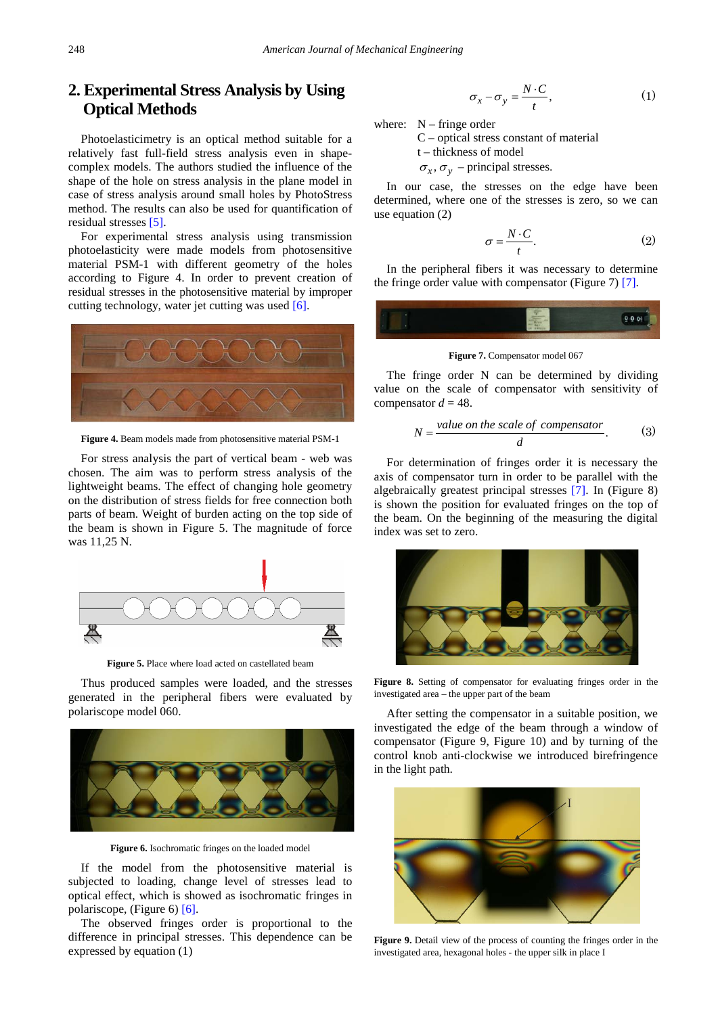# **2. Experimental Stress Analysis by Using Optical Methods**

Photoelasticimetry is an optical method suitable for a relatively fast full-field stress analysis even in shapecomplex models. The authors studied the influence of the shape of the hole on stress analysis in the plane model in case of stress analysis around small holes by PhotoStress method. The results can also be used for quantification of residual stresses [\[5\].](#page-4-4)

For experimental stress analysis using transmission photoelasticity were made models from photosensitive material PSM-1 with different geometry of the holes according to Figure 4. In order to prevent creation of residual stresses in the photosensitive material by improper cutting technology, water jet cutting was used [\[6\].](#page-4-5)



**Figure 4.** Beam models made from photosensitive material PSM-1

For stress analysis the part of vertical beam - web was chosen. The aim was to perform stress analysis of the lightweight beams. The effect of changing hole geometry on the distribution of stress fields for free connection both parts of beam. Weight of burden acting on the top side of the beam is shown in Figure 5. The magnitude of force was 11,25 N.

![](_page_1_Figure_7.jpeg)

**Figure 5.** Place where load acted on castellated beam

Thus produced samples were loaded, and the stresses generated in the peripheral fibers were evaluated by polariscope model 060.

![](_page_1_Picture_10.jpeg)

**Figure 6.** Isochromatic fringes on the loaded model

If the model from the photosensitive material is subjected to loading, change level of stresses lead to optical effect, which is showed as isochromatic fringes in polariscope, (Figure 6[\) \[](#page-4-5)6].

The observed fringes order is proportional to the difference in principal stresses. This dependence can be expressed by equation (1)

$$
\sigma_x - \sigma_y = \frac{N \cdot C}{t}, \qquad (1)
$$

where:  $N - fringe order$ 

C – optical stress constant of material

t – thickness of model

 $\sigma_x$ ,  $\sigma_y$  – principal stresses.

In our case, the stresses on the edge have been determined, where one of the stresses is zero, so we can use equation (2)

$$
\sigma = \frac{N \cdot C}{t}.\tag{2}
$$

In the peripheral fibers it was necessary to determine the fringe order value with compensator (Figure 7[\) \[7\].](#page-4-6)

![](_page_1_Picture_22.jpeg)

**Figure 7.** Compensator model 067

The fringe order N can be determined by dividing value on the scale of compensator with sensitivity of compensator  $d = 48$ .

$$
N = \frac{value \text{ on the scale of } components \text{ at}}{d}.
$$
 (3)

For determination of fringes order it is necessary the axis of compensator turn in order to be parallel with the algebraically greatest principal stresses [\[7\].](#page-4-6) In (Figure 8) is shown the position for evaluated fringes on the top of the beam. On the beginning of the measuring the digital index was set to zero.

![](_page_1_Picture_27.jpeg)

**Figure 8.** Setting of compensator for evaluating fringes order in the investigated area – the upper part of the beam

After setting the compensator in a suitable position, we investigated the edge of the beam through a window of compensator (Figure 9, Figure 10) and by turning of the control knob anti-clockwise we introduced birefringence in the light path.

![](_page_1_Picture_30.jpeg)

**Figure 9.** Detail view of the process of counting the fringes order in the investigated area, hexagonal holes - the upper silk in place I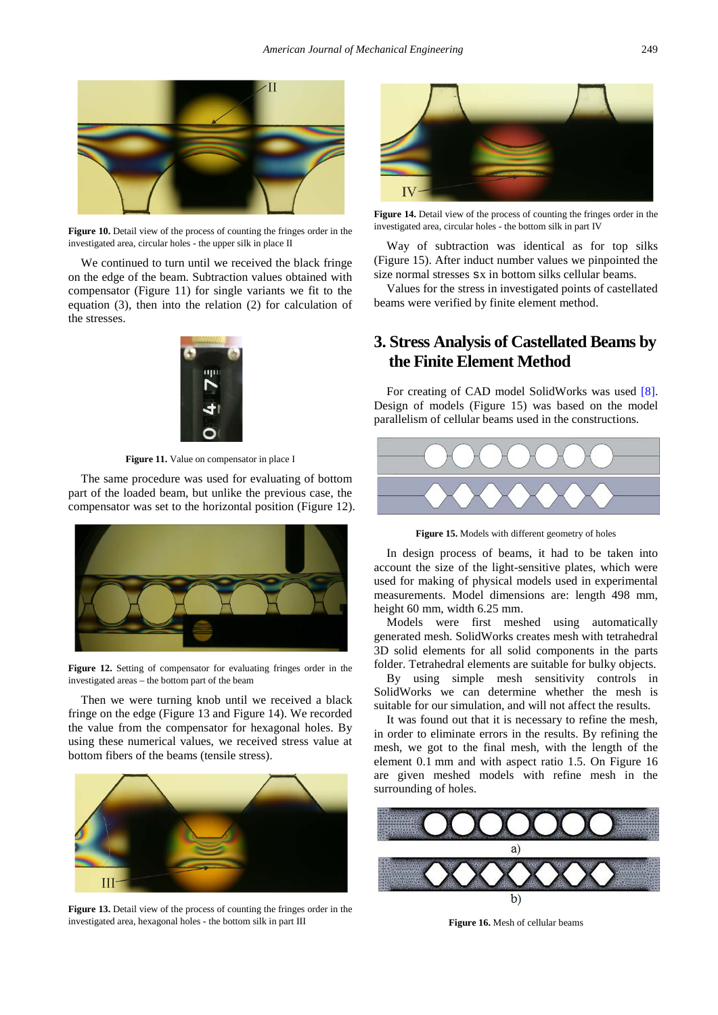![](_page_2_Picture_1.jpeg)

**Figure 10.** Detail view of the process of counting the fringes order in the investigated area, circular holes - the upper silk in place II

We continued to turn until we received the black fringe on the edge of the beam. Subtraction values obtained with compensator (Figure 11) for single variants we fit to the equation (3), then into the relation (2) for calculation of the stresses.

![](_page_2_Picture_4.jpeg)

**Figure 11.** Value on compensator in place I

The same procedure was used for evaluating of bottom part of the loaded beam, but unlike the previous case, the compensator was set to the horizontal position (Figure 12).

![](_page_2_Picture_7.jpeg)

**Figure 12.** Setting of compensator for evaluating fringes order in the investigated areas – the bottom part of the beam

Then we were turning knob until we received a black fringe on the edge (Figure 13 and Figure 14). We recorded the value from the compensator for hexagonal holes. By using these numerical values, we received stress value at bottom fibers of the beams (tensile stress).

![](_page_2_Picture_10.jpeg)

**Figure 13.** Detail view of the process of counting the fringes order in the investigated area, hexagonal holes - the bottom silk in part III

![](_page_2_Picture_12.jpeg)

**Figure 14.** Detail view of the process of counting the fringes order in the investigated area, circular holes - the bottom silk in part IV

Way of subtraction was identical as for top silks (Figure 15). After induct number values we pinpointed the size normal stresses sx in bottom silks cellular beams.

Values for the stress in investigated points of castellated beams were verified by finite element method.

## **3. Stress Analysis of Castellated Beams by the Finite Element Method**

For creating of CAD model SolidWorks was used [\[](#page-4-7)8]. Design of models (Figure 15) was based on the model parallelism of cellular beams used in the constructions.

![](_page_2_Picture_18.jpeg)

**Figure 15.** Models with different geometry of holes

In design process of beams, it had to be taken into account the size of the light-sensitive plates, which were used for making of physical models used in experimental measurements. Model dimensions are: length 498 mm, height 60 mm, width 6.25 mm.

Models were first meshed using automatically generated mesh. SolidWorks creates mesh with tetrahedral 3D solid elements for all solid components in the parts folder. Tetrahedral elements are suitable for bulky objects.

By using simple mesh sensitivity controls in SolidWorks we can determine whether the mesh is suitable for our simulation, and will not affect the results.

It was found out that it is necessary to refine the mesh, in order to eliminate errors in the results. By refining the mesh, we got to the final mesh, with the length of the element 0.1 mm and with aspect ratio 1.5. On Figure 16 are given meshed models with refine mesh in the surrounding of holes.

![](_page_2_Figure_24.jpeg)

**Figure 16.** Mesh of cellular beams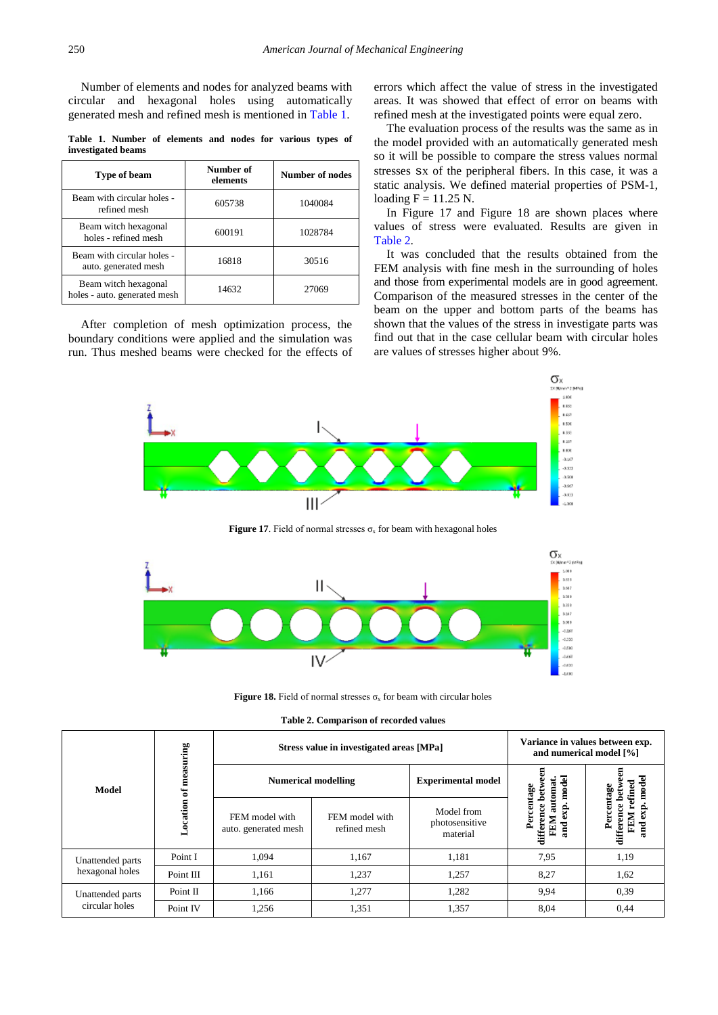Number of elements and nodes for analyzed beams with circular and hexagonal holes using automatically generated mesh and refined mesh is mentioned in [Table 1.](#page-3-0)

**Table 1. Number of elements and nodes for various types of investigated beams**

<span id="page-3-0"></span>

| Type of beam                                         | Number of<br>elements | Number of nodes |
|------------------------------------------------------|-----------------------|-----------------|
| Beam with circular holes -<br>refined mesh           | 605738                | 1040084         |
| Beam witch hexagonal<br>holes - refined mesh         | 600191                | 1028784         |
| Beam with circular holes -<br>auto. generated mesh   | 16818                 | 30516           |
| Beam witch hexagonal<br>holes - auto. generated mesh | 14632                 | 27069           |

After completion of mesh optimization process, the boundary conditions were applied and the simulation was run. Thus meshed beams were checked for the effects of errors which affect the value of stress in the investigated areas. It was showed that effect of error on beams with refined mesh at the investigated points were equal zero.

The evaluation process of the results was the same as in the model provided with an automatically generated mesh so it will be possible to compare the stress values normal stresses sx of the peripheral fibers. In this case, it was a static analysis. We defined material properties of PSM-1, loading  $F = 11.25$  N.

In Figure 17 and Figure 18 are shown places where values of stress were evaluated. Results are given in [Table 2.](#page-3-1)

It was concluded that the results obtained from the FEM analysis with fine mesh in the surrounding of holes and those from experimental models are in good agreement. Comparison of the measured stresses in the center of the beam on the upper and bottom parts of the beams has shown that the values of the stress in investigate parts was find out that in the case cellular beam with circular holes are values of stresses higher about 9%.

![](_page_3_Figure_9.jpeg)

**Figure 17**. Field of normal stresses  $\sigma_x$  for beam with hexagonal holes

![](_page_3_Figure_11.jpeg)

**Figure 18.** Field of normal stresses  $\sigma_x$  for beam with circular holes

|  |  |  |  | Table 2. Comparison of recorded values |  |
|--|--|--|--|----------------------------------------|--|
|--|--|--|--|----------------------------------------|--|

<span id="page-3-1"></span>

| <b>Model</b>                        | uring           |                                        | Stress value in investigated areas [MPa] | Variance in values between exp.<br>and numerical model [%] |                                                               |                                     |
|-------------------------------------|-----------------|----------------------------------------|------------------------------------------|------------------------------------------------------------|---------------------------------------------------------------|-------------------------------------|
|                                     | Ē<br>Ѣ<br>ation | <b>Numerical modelling</b>             |                                          | <b>Experimental model</b>                                  | model<br>automat<br>betw                                      | odei<br>3<br>tage                   |
|                                     |                 | FEM model with<br>auto. generated mesh | FEM model with<br>refined mesh           | Model from<br>photosensitive<br>material                   | Percentage<br>difference<br>exp.<br><b>FEM</b><br><b>Tang</b> | Percent<br>difference<br>FEM<br>and |
| Unattended parts<br>hexagonal holes | Point I         | 1.094                                  | 1,167                                    | 1,181                                                      | 7,95                                                          | 1,19                                |
|                                     | Point III       | 1,161                                  | 1,237                                    | 1,257                                                      | 8,27                                                          | 1,62                                |
| Unattended parts<br>circular holes  | Point II        | 1,166                                  | 1,277                                    | 1,282                                                      | 9,94                                                          | 0.39                                |
|                                     | Point IV        | 1,256                                  | 1,351                                    | 1,357                                                      | 8,04                                                          | 0,44                                |